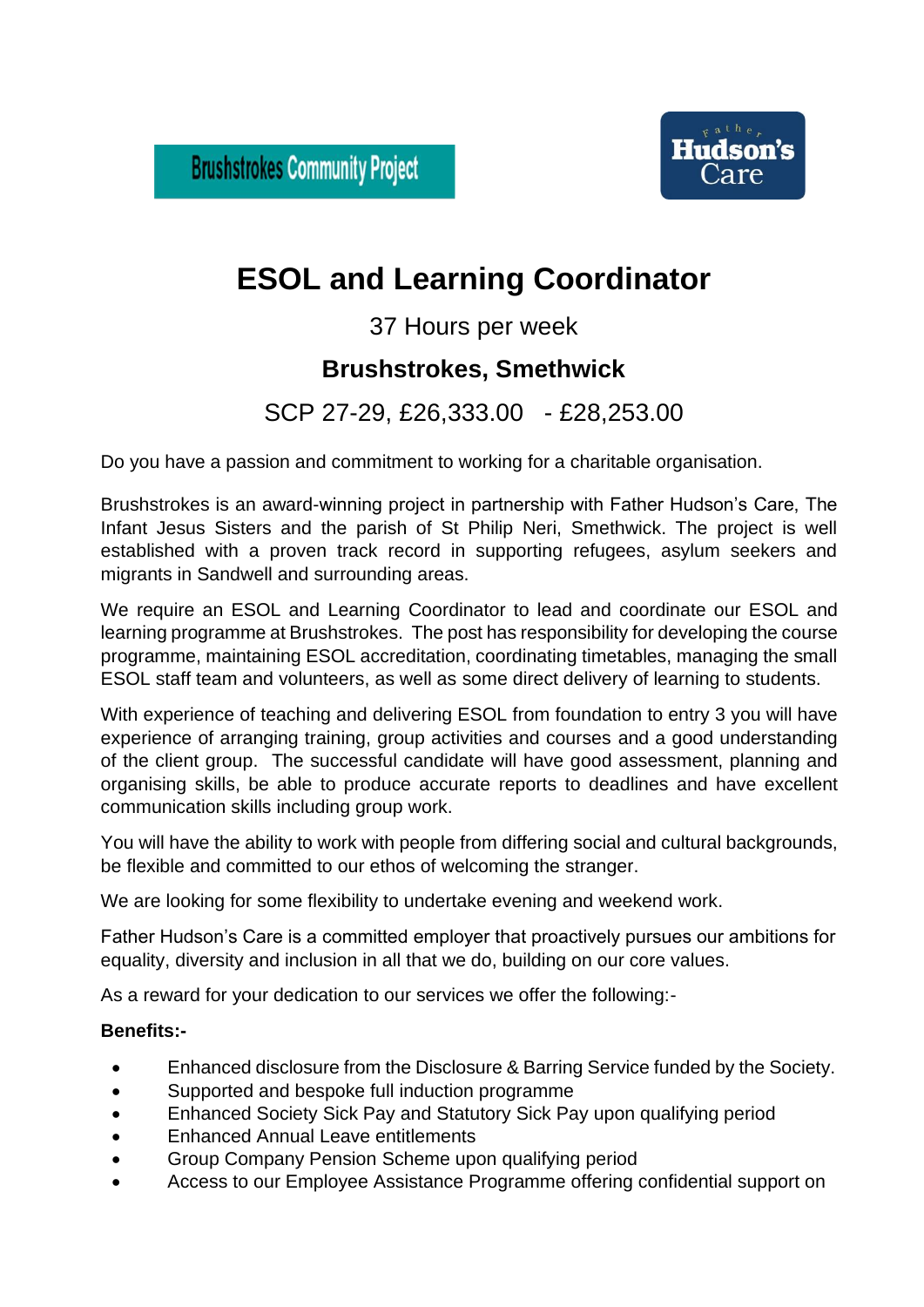**Brushstrokes Community Project** 



# **ESOL and Learning Coordinator**

37 Hours per week

## **Brushstrokes, Smethwick**

## SCP 27-29, £26,333.00 - £28,253.00

Do you have a passion and commitment to working for a charitable organisation.

Brushstrokes is an award-winning project in partnership with Father Hudson's Care, The Infant Jesus Sisters and the parish of St Philip Neri, Smethwick. The project is well established with a proven track record in supporting refugees, asylum seekers and migrants in Sandwell and surrounding areas.

We require an ESOL and Learning Coordinator to lead and coordinate our ESOL and learning programme at Brushstrokes. The post has responsibility for developing the course programme, maintaining ESOL accreditation, coordinating timetables, managing the small ESOL staff team and volunteers, as well as some direct delivery of learning to students.

With experience of teaching and delivering ESOL from foundation to entry 3 you will have experience of arranging training, group activities and courses and a good understanding of the client group. The successful candidate will have good assessment, planning and organising skills, be able to produce accurate reports to deadlines and have excellent communication skills including group work.

You will have the ability to work with people from differing social and cultural backgrounds, be flexible and committed to our ethos of welcoming the stranger.

We are looking for some flexibility to undertake evening and weekend work.

Father Hudson's Care is a committed employer that proactively pursues our ambitions for equality, diversity and inclusion in all that we do, building on our core values.

As a reward for your dedication to our services we offer the following:-

#### **Benefits:-**

- Enhanced disclosure from the Disclosure & Barring Service funded by the Society.
- Supported and bespoke full induction programme
- Enhanced Society Sick Pay and Statutory Sick Pay upon qualifying period
- Enhanced Annual Leave entitlements
- Group Company Pension Scheme upon qualifying period
- Access to our Employee Assistance Programme offering confidential support on